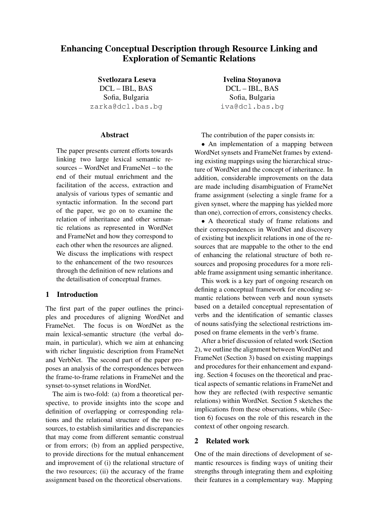# Enhancing Conceptual Description through Resource Linking and Exploration of Semantic Relations

Svetlozara Leseva DCL – IBL, BAS Sofia, Bulgaria zarka@dcl.bas.bg

# Abstract

The paper presents current efforts towards linking two large lexical semantic resources – WordNet and FrameNet – to the end of their mutual enrichment and the facilitation of the access, extraction and analysis of various types of semantic and syntactic information. In the second part of the paper, we go on to examine the relation of inheritance and other semantic relations as represented in WordNet and FrameNet and how they correspond to each other when the resources are aligned. We discuss the implications with respect to the enhancement of the two resources through the definition of new relations and the detailisation of conceptual frames.

# 1 Introduction

The first part of the paper outlines the principles and procedures of aligning WordNet and FrameNet. The focus is on WordNet as the main lexical-semantic structure (the verbal domain, in particular), which we aim at enhancing with richer linguistic description from FrameNet and VerbNet. The second part of the paper proposes an analysis of the correspondences between the frame-to-frame relations in FrameNet and the synset-to-synset relations in WordNet.

The aim is two-fold: (a) from a theoretical perspective, to provide insights into the scope and definition of overlapping or corresponding relations and the relational structure of the two resources, to establish similarities and discrepancies that may come from different semantic construal or from errors; (b) from an applied perspective, to provide directions for the mutual enhancement and improvement of (i) the relational structure of the two resources; (ii) the accuracy of the frame assignment based on the theoretical observations.

Ivelina Stoyanova DCL – IBL, BAS Sofia, Bulgaria iva@dcl.bas.bg

The contribution of the paper consists in:

• An implementation of a mapping between WordNet synsets and FrameNet frames by extending existing mappings using the hierarchical structure of WordNet and the concept of inheritance. In addition, considerable improvements on the data are made including disambiguation of FrameNet frame assignment (selecting a single frame for a given synset, where the mapping has yielded more than one), correction of errors, consistency checks.

• A theoretical study of frame relations and their correspondences in WordNet and discovery of existing but inexplicit relations in one of the resources that are mappable to the other to the end of enhancing the relational structure of both resources and proposing procedures for a more reliable frame assignment using semantic inheritance.

This work is a key part of ongoing research on defining a conceptual framework for encoding semantic relations between verb and noun synsets based on a detailed conceptual representation of verbs and the identification of semantic classes of nouns satisfying the selectional restrictions imposed on frame elements in the verb's frame.

After a brief discussion of related work (Section 2), we outline the alignment between WordNet and FrameNet (Section 3) based on existing mappings and procedures for their enhancement and expanding. Section 4 focuses on the theoretical and practical aspects of semantic relations in FrameNet and how they are reflected (with respective semantic relations) within WordNet. Section 5 sketches the implications from these observations, while (Section 6) focuses on the role of this research in the context of other ongoing research.

## 2 Related work

One of the main directions of development of semantic resources is finding ways of uniting their strengths through integrating them and exploiting their features in a complementary way. Mapping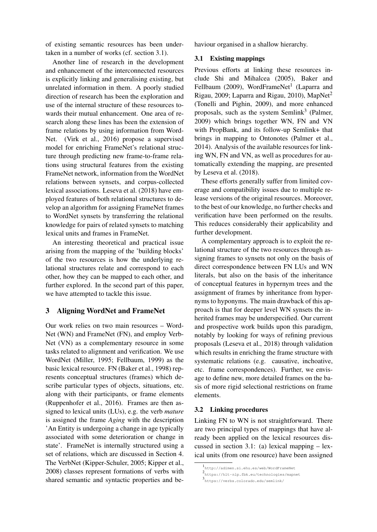of existing semantic resources has been undertaken in a number of works (cf. section 3.1).

Another line of research in the development and enhancement of the interconnected resources is explicitly linking and generalising existing, but unrelated information in them. A poorly studied direction of research has been the exploration and use of the internal structure of these resources towards their mutual enhancement. One area of research along these lines has been the extension of frame relations by using information from Word-Net. (Virk et al., 2016) propose a supervised model for enriching FrameNet's relational structure through predicting new frame-to-frame relations using structural features from the existing FrameNet network, information from the WordNet relations between synsets, and corpus-collected lexical associations. Leseva et al. (2018) have employed features of both relational structures to develop an algorithm for assigning FrameNet frames to WordNet synsets by transferring the relational knowledge for pairs of related synsets to matching lexical units and frames in FrameNet.

An interesting theoretical and practical issue arising from the mapping of the 'building blocks' of the two resources is how the underlying relational structures relate and correspond to each other, how they can be mapped to each other, and further explored. In the second part of this paper, we have attempted to tackle this issue.

# 3 Aligning WordNet and FrameNet

Our work relies on two main resources – Word-Net (WN) and FrameNet (FN), and employ Verb-Net (VN) as a complementary resource in some tasks related to alignment and verification. We use WordNet (Miller, 1995; Fellbaum, 1999) as the basic lexical resource. FN (Baker et al., 1998) represents conceptual structures (frames) which describe particular types of objects, situations, etc. along with their participants, or frame elements (Ruppenhofer et al., 2016). Frames are then assigned to lexical units (LUs), e.g. the verb *mature* is assigned the frame *Aging* with the description 'An Entity is undergoing a change in age typically associated with some deterioration or change in state'. FrameNet is internally structured using a set of relations, which are discussed in Section 4. The VerbNet (Kipper-Schuler, 2005; Kipper et al., 2008) classes represent formations of verbs with shared semantic and syntactic properties and behaviour organised in a shallow hierarchy.

### 3.1 Existing mappings

Previous efforts at linking these resources include Shi and Mihalcea (2005), Baker and Fellbaum (2009), WordFrameNet<sup>1</sup> (Laparra and Rigau, 2009; Laparra and Rigau, 2010), MapNet<sup>2</sup> (Tonelli and Pighin, 2009), and more enhanced proposals, such as the system Semlink<sup>3</sup> (Palmer, 2009) which brings together WN, FN and VN with PropBank, and its follow-up Semlink+ that brings in mapping to Ontonotes (Palmer et al., 2014). Analysis of the available resources for linking WN, FN and VN, as well as procedures for automatically extending the mapping, are presented by Leseva et al. (2018).

These efforts generally suffer from limited coverage and compatibility issues due to multiple release versions of the original resources. Moreover, to the best of our knowledge, no further checks and verification have been performed on the results. This reduces considerably their applicability and further development.

A complementary approach is to exploit the relational structure of the two resources through assigning frames to synsets not only on the basis of direct correspondence between FN LUs and WN literals, but also on the basis of the inheritance of conceptual features in hypernym trees and the assignment of frames by inheritance from hypernyms to hyponyms. The main drawback of this approach is that for deeper level WN synsets the inherited frames may be underspecified. Our current and prospective work builds upon this paradigm, notably by looking for ways of refining previous proposals (Leseva et al., 2018) through validation which results in enriching the frame structure with systematic relations (e.g. causative, inchoative, etc. frame correspondences). Further, we envisage to define new, more detailed frames on the basis of more rigid selectional restrictions on frame elements.

#### 3.2 Linking procedures

Linking FN to WN is not straightforward. There are two principal types of mappings that have already been applied on the lexical resources discussed in section 3.1: (a) lexical mapping – lexical units (from one resource) have been assigned

<sup>1</sup> http://adimen.si.ehu.es/web/WordFrameNet

<sup>2</sup> https://hlt-nlp.fbk.eu/technologies/mapnet

<sup>3</sup> https://verbs.colorado.edu/semlink/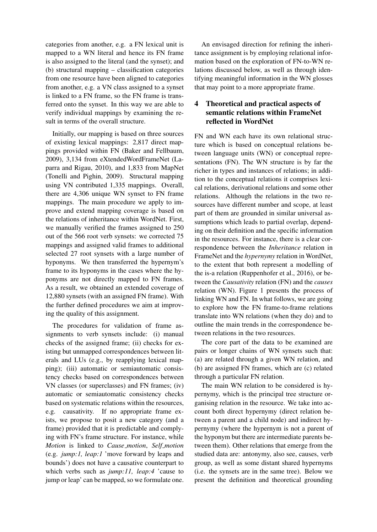categories from another, e.g. a FN lexical unit is mapped to a WN literal and hence its FN frame is also assigned to the literal (and the synset); and (b) structural mapping – classification categories from one resource have been aligned to categories from another, e.g. a VN class assigned to a synset is linked to a FN frame, so the FN frame is transferred onto the synset. In this way we are able to verify individual mappings by examining the result in terms of the overall structure.

Initially, our mapping is based on three sources of existing lexical mappings: 2,817 direct mappings provided within FN (Baker and Fellbaum, 2009), 3,134 from eXtendedWordFrameNet (Laparra and Rigau, 2010), and 1,833 from MapNet (Tonelli and Pighin, 2009). Structural mapping using VN contributed 1,335 mappings. Overall, there are 4,306 unique WN synset to FN frame mappings. The main procedure we apply to improve and extend mapping coverage is based on the relations of inheritance within WordNet. First, we manually verified the frames assigned to 250 out of the 566 root verb synsets: we corrected 75 mappings and assigned valid frames to additional selected 27 root synsets with a large number of hyponyms. We then transferred the hypernym's frame to its hyponyms in the cases where the hyponyms are not directly mapped to FN frames. As a result, we obtained an extended coverage of 12,880 synsets (with an assigned FN frame). With the further defined procedures we aim at improving the quality of this assignment.

The procedures for validation of frame assignments to verb synsets include: (i) manual checks of the assigned frame; (ii) checks for existing but unmapped correspondences between literals and LUs (e.g., by reapplying lexical mapping); (iii) automatic or semiautomatic consistency checks based on correspondences between VN classes (or superclasses) and FN frames; (iv) automatic or semiautomatic consistency checks based on systematic relations within the resources, e.g. causativity. If no appropriate frame exists, we propose to posit a new category (and a frame) provided that it is predictable and complying with FN's frame structure. For instance, while *Motion* is linked to *Cause motion*, *Self motion* (e.g. *jump:1, leap:1* 'move forward by leaps and bounds') does not have a causative counterpart to which verbs such as *jump:11, leap:4* 'cause to jump or leap' can be mapped, so we formulate one.

An envisaged direction for refining the inheritance assignment is by employing relational information based on the exploration of FN-to-WN relations discussed below, as well as through identifying meaningful information in the WN glosses that may point to a more appropriate frame.

# 4 Theoretical and practical aspects of semantic relations within FrameNet reflected in WordNet

FN and WN each have its own relational structure which is based on conceptual relations between language units (WN) or conceptual representations (FN). The WN structure is by far the richer in types and instances of relations; in addition to the conceptual relations it comprises lexical relations, derivational relations and some other relations. Although the relations in the two resources have different number and scope, at least part of them are grounded in similar universal assumptions which leads to partial overlap, depending on their definition and the specific information in the resources. For instance, there is a clear correspondence between the *Inheritance* relation in FrameNet and the *hypernymy* relation in WordNet, to the extent that both represent a modelling of the is-a relation (Ruppenhofer et al., 2016), or between the *Causativity* relation (FN) and the *causes* relation (WN). Figure 1 presents the process of linking WN and FN. In what follows, we are going to explore how the FN frame-to-frame relations translate into WN relations (when they do) and to outline the main trends in the correspondence between relations in the two resources.

The core part of the data to be examined are pairs or longer chains of WN synsets such that: (a) are related through a given WN relation, and (b) are assigned FN frames, which are (c) related through a particular FN relation.

The main WN relation to be considered is hypernymy, which is the principal tree structure organising relation in the resource. We take into account both direct hypernymy (direct relation between a parent and a child node) and indirect hypernymy (where the hypernym is not a parent of the hyponym but there are intermediate parents between them). Other relations that emerge from the studied data are: antonymy, also see, causes, verb group, as well as some distant shared hypernyms (i.e. the synsets are in the same tree). Below we present the definition and theoretical grounding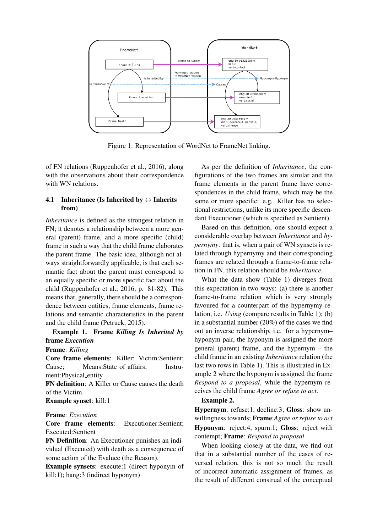

Figure 1: Representation of WordNet to FrameNet linking.

of FN relations (Ruppenhofer et al., 2016), along with the observations about their correspondence with WN relations.

# 4.1 Inheritance (Is Inherited by  $\leftrightarrow$  Inherits from)

*Inheritance* is defined as the strongest relation in FN; it denotes a relationship between a more general (parent) frame, and a more specific (child) frame in such a way that the child frame elaborates the parent frame. The basic idea, although not always straightforwardly applicable, is that each semantic fact about the parent must correspond to an equally specific or more specific fact about the child (Ruppenhofer et al., 2016, p. 81-82). This means that, generally, there should be a correspondence between entities, frame elements, frame relations and semantic characteristics in the parent and the child frame (Petruck, 2015).

# Example 1. Frame *Killing Is Inherited by* frame *Execution*

### Frame: *Killing*

Core frame elements: Killer; Victim:Sentient; Cause; Means:State of affairs; Instrument:Physical entity

FN definition: A Killer or Cause causes the death of the Victim.

Example synset: kill:1

# Frame: *Execution*

Core frame elements: Executioner:Sentient; Executed:Sentient

FN Definition: An Executioner punishes an individual (Executed) with death as a consequence of some action of the Evaluee (the Reason).

Example synsets: execute:1 (direct hyponym of kill:1); hang:3 (indirect hyponym)

As per the definition of *Inheritance*, the configurations of the two frames are similar and the frame elements in the parent frame have correspondences in the child frame, which may be the same or more specific: e.g. Killer has no selectional restrictions, unlike its more specific descendant Executioner (which is specified as Sentient).

Based on this definition, one should expect a considerable overlap between *Inheritance* and *hypernymy*: that is, when a pair of WN synsets is related through hypernymy and their corresponding frames are related through a frame-to-frame relation in FN, this relation should be *Inheritance*.

What the data show (Table 1) diverges from this expectation in two ways: (a) there is another frame-to-frame relation which is very strongly favoured for a counterpart of the hypernymy relation, i.e. *Using* (compare results in Table 1); (b) in a substantial number (20%) of the cases we find out an inverse relationship, i.e. for a hypernym– hyponym pair, the hyponym is assigned the more general (parent) frame, and the hypernym – the child frame in an existing *Inheritance* relation (the last two rows in Table 1). This is illustrated in Example 2 where the hyponym is assigned the frame *Respond to a proposal*, while the hypernym receives the child frame *Agree or refuse to act*.

#### Example 2.

Hypernym: refuse:1, decline:3; Gloss: show unwillingness towards; Frame:*Agree or refuse to act* Hyponym: reject:4, spurn:1; Gloss: reject with contempt; Frame: *Respond to proposal*

When looking closely at the data, we find out that in a substantial number of the cases of reversed relation, this is not so much the result of incorrect automatic assignment of frames, as the result of different construal of the conceptual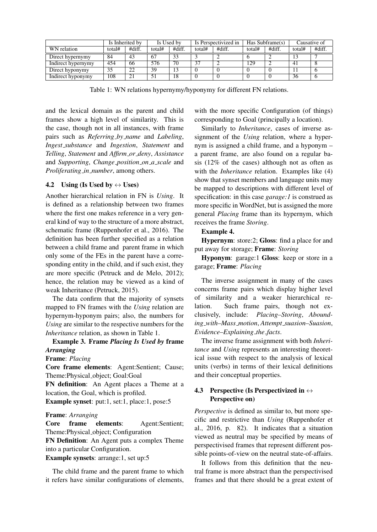|                           | Is Inherited by |        | Is Used by |        | Is Perspectivized in |        | Has Subframe(s) |        | Causative of |        |
|---------------------------|-----------------|--------|------------|--------|----------------------|--------|-----------------|--------|--------------|--------|
| WN relation               | total#          | #diff. | total#     | #diff. | total#               | #diff. | total#          | #diff. | total#       | #diff. |
| Direct hypernymy          | 84              | 43     | 67         |        |                      |        |                 |        |              |        |
| <b>Indirect hypernymy</b> | 454             | 66     | 576        | 70     | $3^7$                |        | 129             | ∼      | 41           |        |
| Direct hyponymy           | 35              | 22     | 39         | 13     |                      |        |                 |        |              |        |
| Indirect hyponymy         | 108             | 21     |            | 18     |                      |        |                 |        | 36           |        |

Table 1: WN relations hypernymy/hyponymy for different FN relations.

and the lexical domain as the parent and child frames show a high level of similarity. This is the case, though not in all instances, with frame pairs such as *Referring by name* and *Labeling*, *Ingest substance* and *Ingestion*, *Statement* and *Telling*, *Statement* and *Affirm or deny*, *Assistance* and *Supporting*, *Change position on a scale* and *Proliferating in number*, among others.

## 4.2 Using (Is Used by  $\leftrightarrow$  Uses)

Another hierarchical relation in FN is *Using*. It is defined as a relationship between two frames where the first one makes reference in a very general kind of way to the structure of a more abstract, schematic frame (Ruppenhofer et al., 2016). The definition has been further specified as a relation between a child frame and parent frame in which only some of the FEs in the parent have a corresponding entity in the child, and if such exist, they are more specific (Petruck and de Melo, 2012); hence, the relation may be viewed as a kind of weak Inheritance (Petruck, 2015).

The data confirm that the majority of synsets mapped to FN frames with the *Using* relation are hypernym-hyponym pairs; also, the numbers for *Using* are similar to the respective numbers for the *Inheritance* relation, as shown in Table 1.

# Example 3. Frame *Placing Is Used by* frame *Arranging*

# Frame: *Placing*

Core frame elements: Agent:Sentient; Cause; Theme:Physical object; Goal:Goal

FN definition: An Agent places a Theme at a location, the Goal, which is profiled.

Example synset: put:1, set:1, place:1, pose:5

### Frame: *Arranging*

Core frame elements: Agent:Sentient; Theme:Physical object; Configuration

FN Definition: An Agent puts a complex Theme into a particular Configuration.

Example synsets: arrange:1, set up:5

The child frame and the parent frame to which it refers have similar configurations of elements,

with the more specific Configuration (of things) corresponding to Goal (principally a location).

Similarly to *Inheritance*, cases of inverse assignment of the *Using* relation, where a hypernym is assigned a child frame, and a hyponym – a parent frame, are also found on a regular basis (12% of the cases) although not as often as with the *Inheritance* relation. Examples like (4) show that synset members and language units may be mapped to descriptions with different level of specification: in this case *garage:1* is construed as more specific in WordNet, but is assigned the more general *Placing* frame than its hypernym, which receives the frame *Storing*.

#### Example 4.

Hypernym: store:2; Gloss: find a place for and put away for storage; Frame: *Storing*

Hyponym: garage:1 Gloss: keep or store in a garage; Frame: *Placing*

The inverse assignment in many of the cases concerns frame pairs which display higher level of similarity and a weaker hierarchical relation. Such frame pairs, though not exclusively, include: *Placing–Storing*, *Abounding with–Mass motion*, *Attempt suasion–Suasion*, *Evidence–Explaining the facts*.

The inverse frame assignment with both *Inheritance* and *Using* represents an interesting theoretical issue with respect to the analysis of lexical units (verbs) in terms of their lexical definitions and their conceptual properties.

# 4.3 Perspective (Is Perspectivized in  $\leftrightarrow$ Perspective on)

*Perspective* is defined as similar to, but more specific and restrictive than *Using* (Ruppenhofer et al., 2016, p. 82). It indicates that a situation viewed as neutral may be specified by means of perspectivised frames that represent different possible points-of-view on the neutral state-of-affairs.

It follows from this definition that the neutral frame is more abstract than the perspectivised frames and that there should be a great extent of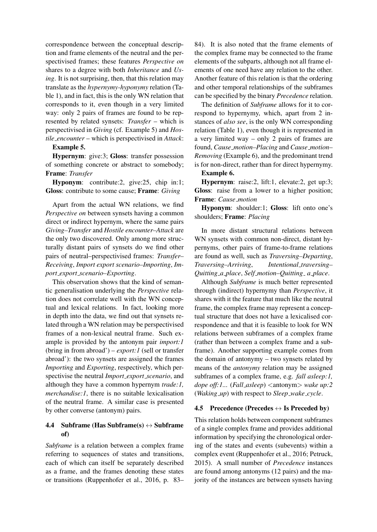correspondence between the conceptual description and frame elements of the neutral and the perspectivised frames; these features *Perspective on* shares to a degree with both *Inheritance* and *Using*. It is not surprising, then, that this relation may translate as the *hypernymy-hyponymy* relation (Table 1), and in fact, this is the only WN relation that corresponds to it, even though in a very limited way: only 2 pairs of frames are found to be represented by related synsets: *Transfer* – which is perspectivised in *Giving* (cf. Example 5) and *Hostile encounter* – which is perspectivised in *Attack*:

#### Example 5.

Hypernym: give:3; Gloss: transfer possession of something concrete or abstract to somebody; Frame: *Transfer*

Hyponym: contribute:2, give:25, chip in:1; Gloss: contribute to some cause; Frame: *Giving*

Apart from the actual WN relations, we find *Perspective on* between synsets having a common direct or indirect hypernym, where the same pairs *Giving–Transfer* and *Hostile encounter–Attack* are the only two discovered. Only among more structurally distant pairs of synsets do we find other pairs of neutral–perspectivised frames: *Transfer– Receiving*, *Import export scenario–Importing*, *Import export scenario–Exporting*.

This observation shows that the kind of semantic generalisation underlying the *Perspective* relation does not correlate well with the WN conceptual and lexical relations. In fact, looking more in depth into the data, we find out that synsets related through a WN relation may be perspectivised frames of a non-lexical neutral frame. Such example is provided by the antonym pair *import:1* (bring in from abroad') – *export:1* (sell or transfer abroad'): the two synsets are assigned the frames *Importing* and *Exporting*, respectively, which perspectivise the neutral *Import export scenario*, and although they have a common hypernym *trade:1, merchandise:1*, there is no suitable lexicalisation of the neutral frame. A similar case is presented by other converse (antonym) pairs.

# 4.4 Subframe (Has Subframe(s)  $\leftrightarrow$  Subframe of)

*Subframe* is a relation between a complex frame referring to sequences of states and transitions, each of which can itself be separately described as a frame, and the frames denoting these states or transitions (Ruppenhofer et al., 2016, p. 83–

84). It is also noted that the frame elements of the complex frame may be connected to the frame elements of the subparts, although not all frame elements of one need have any relation to the other. Another feature of this relation is that the ordering and other temporal relationships of the subframes can be specified by the binary *Precedence* relation.

The definition of *Subframe* allows for it to correspond to hypernymy, which, apart from 2 instances of *also see*, is the only WN corresponding relation (Table 1), even though it is represented in a very limited way – only 2 pairs of frames are found, *Cause motion–Placing* and *Cause motion– Removing* (Example 6), and the predominant trend is for non-direct, rather than for direct hypernymy.

#### Example 6.

Hypernym: raise:2, lift:1, elevate:2, get up:3; Gloss: raise from a lower to a higher position; Frame: *Cause motion*

Hyponym: shoulder:1; Gloss: lift onto one's shoulders; Frame: *Placing*

In more distant structural relations between WN synsets with common non-direct, distant hypernyms, other pairs of frame-to-frame relations are found as well, such as *Traversing–Departing*, *Traversing–Arriving*, *Intentional traversing– Quitting a place*, *Self motion–Quitting a place*.

Although *Subframe* is much better represented through (indirect) hypernymy than *Perspective*, it shares with it the feature that much like the neutral frame, the complex frame may represent a conceptual structure that does not have a lexicalised correspondence and that it is feasible to look for WN relations between subframes of a complex frame (rather than between a complex frame and a subframe). Another supporting example comes from the domain of antonymy – two synsets related by means of the *antonymy* relation may be assigned subframes of a complex frame, e.g. *fall asleep:1, dope off:1...* (*Fall asleep*) <antonym> *wake up:2* (*Waking up*) with respect to *Sleep wake cycle*.

### 4.5 Precedence (Precedes  $\leftrightarrow$  Is Preceded by)

This relation holds between component subframes of a single complex frame and provides additional information by specifying the chronological ordering of the states and events (subevents) within a complex event (Ruppenhofer et al., 2016; Petruck, 2015). A small number of *Precedence* instances are found among antonyms (12 pairs) and the majority of the instances are between synsets having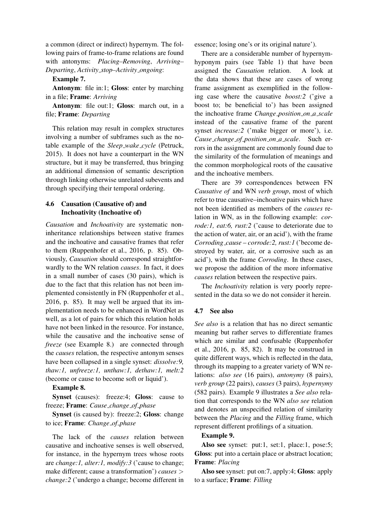a common (direct or indirect) hypernym. The following pairs of frame-to-frame relations are found with antonyms: *Placing–Removing*, *Arriving– Departing*, *Activity stop–Activity ongoing*:

Example 7.

Antonym: file in:1; Gloss: enter by marching in a file; Frame: *Arriving*

Antonym: file out:1; Gloss: march out, in a file; Frame: *Departing*

This relation may result in complex structures involving a number of subframes such as the notable example of the *Sleep wake cycle* (Petruck, 2015). It does not have a counterpart in the WN structure, but it may be transferred, thus bringing an additional dimension of semantic description through linking otherwise unrelated subevents and through specifying their temporal ordering.

# 4.6 Causation (Causative of) and Inchoativity (Inchoative of)

*Causation* and *Inchoativity* are systematic noninheritance relationships between stative frames and the inchoative and causative frames that refer to them (Ruppenhofer et al., 2016, p. 85). Obviously, *Causation* should correspond straightforwardly to the WN relation *causes*. In fact, it does in a small number of cases (30 pairs), which is due to the fact that this relation has not been implemented consistently in FN (Ruppenhofer et al., 2016, p. 85). It may well be argued that its implementation needs to be enhanced in WordNet as well, as a lot of pairs for which this relation holds have not been linked in the resource. For instance, while the causative and the inchoative sense of *freeze* (see Example 8.) are connected through the *causes* relation, the respective antonym senses have been collapsed in a single synset: *dissolve:9, thaw:1, unfreeze:1, unthaw:1, dethaw:1, melt:2* (become or cause to become soft or liquid').

### Example 8.

Synset (causes): freeze:4; Gloss: cause to freeze; Frame: *Cause change of phase*

Synset (is caused by): freeze:2; Gloss: change to ice; Frame: *Change of phase*

The lack of the *causes* relation between causative and inchoative senses is well observed, for instance, in the hypernym trees whose roots are *change:1, alter:1, modify:3* ('cause to change; make different; cause a transformation') *causes* > *change:2* ('undergo a change; become different in essence; losing one's or its original nature').

There are a considerable number of hypernymhyponym pairs (see Table 1) that have been assigned the *Causation* relation. A look at the data shows that these are cases of wrong frame assignment as exemplified in the following case where the causative *boost:2* ('give a boost to; be beneficial to') has been assigned the inchoative frame *Change position on a scale* instead of the causative frame of the parent synset *increase:* 2 ('make bigger or more'), i.e. *Cause change of position on a scale*. Such errors in the assignment are commonly found due to the similarity of the formulation of meanings and the common morphological roots of the causative and the inchoative members.

There are 39 correspondences between FN *Causative of* and WN *verb group*, most of which refer to true causative–inchoative pairs which have not been identified as members of the *causes* relation in WN, as in the following example: *corrode:1, eat:6, rust:2* ('cause to deteriorate due to the action of water, air, or an acid'), with the frame *Corroding cause* – *corrode:2, rust:1* ('become destroyed by water, air, or a corrosive such as an acid'), with the frame *Corroding*. In these cases, we propose the addition of the more informative *causes* relation between the respective pairs.

The *Inchoativity* relation is very poorly represented in the data so we do not consider it herein.

### 4.7 See also

*See also* is a relation that has no direct semantic meaning but rather serves to differentiate frames which are similar and confusable (Ruppenhofer et al., 2016, p. 85, 82). It may be construed in quite different ways, which is reflected in the data, through its mapping to a greater variety of WN relations: *also see* (16 pairs), *antonymy* (8 pairs), *verb group* (22 pairs), *causes* (3 pairs), *hypernymy* (582 pairs). Example 9 illustrates a *See also* relation that corresponds to the WN *also see* relation and denotes an unspecified relation of similarity between the *Placing* and the *Filling* frame, which represent different profilings of a situation.

#### Example 9.

Also see synset: put:1, set:1, place:1, pose:5; Gloss: put into a certain place or abstract location; Frame: *Placing*

Also see synset: put on:7, apply:4; Gloss: apply to a surface; Frame: *Filling*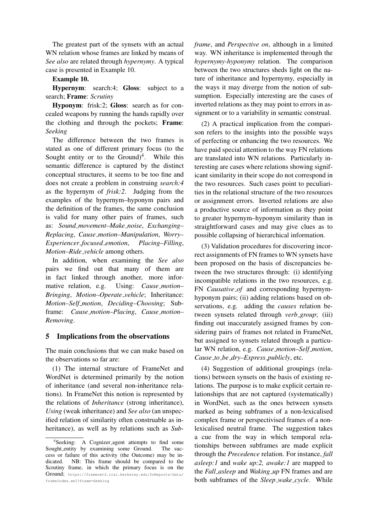The greatest part of the synsets with an actual WN relation whose frames are linked by means of *See also* are related through *hypernymy*. A typical case is presented in Example 10.

### Example 10.

Hypernym: search:4; Gloss: subject to a search; Frame: *Scrutiny*

Hyponym: frisk:2; Gloss: search as for concealed weapons by running the hands rapidly over the clothing and through the pockets; Frame: *Seeking*

The difference between the two frames is stated as one of different primary focus (to the Sought entity or to the Ground)<sup>4</sup>. While this semantic difference is captured by the distinct conceptual structures, it seems to be too fine and does not create a problem in construing *search:4* as the hypernym of *frisk:2*. Judging from the examples of the hypernym–hyponym pairs and the definition of the frames, the same conclusion is valid for many other pairs of frames, such as: *Sound movement–Make noise*, *Exchanging– Replacing*, *Cause motion–Manipulation*, *Worry– Experiencer focused emotion*, *Placing–Filling*, *Motion–Ride vehicle* among others.

In addition, when examining the *See also* pairs we find out that many of them are in fact linked through another, more informative relation, e.g. Using: *Cause motion– Bringing*, *Motion–Operate vehicle*; Inheritance: *Motion–Self motion*, *Deciding–Choosing*; Subframe: *Cause motion–Placing*, *Cause motion– Removing*.

### 5 Implications from the observations

The main conclusions that we can make based on the observations so far are:

(1) The internal structure of FrameNet and WordNet is determined primarily by the notion of inheritance (and several non-inheritance relations). In FrameNet this notion is represented by the relations of *Inheritance* (strong inheritance), *Using* (weak inheritance) and *See also* (an unspecified relation of similarity often construable as inheritance), as well as by relations such as *Sub-* *frame*, and *Perspective on*, although in a limited way. WN inheritance is implemented through the *hypernymy-hyponymy* relation. The comparison between the two structures sheds light on the nature of inheritance and hypernymy, especially in the ways it may diverge from the notion of subsumption. Especially interesting are the cases of inverted relations as they may point to errors in assignment or to a variability in semantic construal.

(2) A practical implication from the comparison refers to the insights into the possible ways of perfecting or enhancing the two resources. We have paid special attention to the way FN relations are translated into WN relations. Particularly interesting are cases where relations showing significant similarity in their scope do not correspond in the two resources. Such cases point to peculiarities in the relational structure of the two resources or assignment errors. Inverted relations are also a productive source of information as they point to greater hypernym–hyponym similarity than in straightforward cases and may give clues as to possible collapsing of hierarchical information.

(3) Validation procedures for discovering incorrect assignments of FN frames to WN synsets have been proposed on the basis of discrepancies between the two structures through: (i) identifying incompatible relations in the two resources, e.g. FN *Causative of* and corresponding hypernymhyponym pairs; (ii) adding relations based on observations, e.g. adding the *causes* relation between synsets related through *verb group*; (iii) finding out inaccurately assigned frames by considering pairs of frames not related in FrameNet, but assigned to synsets related through a particular WN relation, e.g. *Cause motion–Self motion*, *Cause to be dry–Express publicly*, etc.

(4) Suggestion of additional groupings (relations) between synsets on the basis of existing relations. The purpose is to make explicit certain relationships that are not captured (systematically) in WordNet, such as the ones between synsets marked as being subframes of a non-lexicalised complex frame or perspectivised frames of a nonlexicalised neutral frame. The suggestion takes a cue from the way in which temporal relationships between subframes are made explicit through the *Precedence* relation. For instance, *fall asleep:1* and *wake up:2, awake:1* are mapped to the *Fall asleep* and *Waking up* FN frames and are both subframes of the *Sleep wake cycle*. While

<sup>4</sup> Seeking: A Cognizer agent attempts to find some Sought entity by examining some Ground. The success or failure of this activity (the Outcome) may be indicated. NB: This frame should be compared to the Scrutiny frame, in which the primary focus is on the Ground; https://framenet2.icsi.berkeley.edu/fnReports/data/ frameIndex.xml?frame=Seeking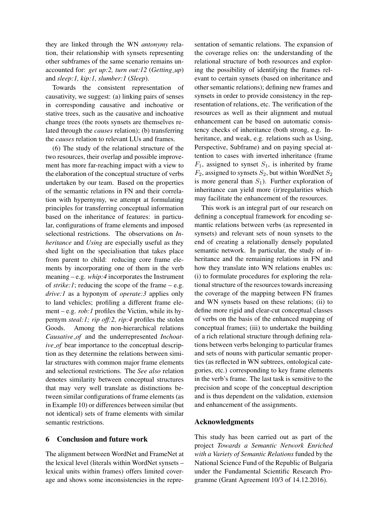they are linked through the WN *antonymy* relation, their relationship with synsets representing other subframes of the same scenario remains unaccounted for: *get up:2, turn out:12* (*Getting up*) and *sleep:1, kip:1, slumber:1* (*Sleep*).

Towards the consistent representation of causativity, we suggest: (a) linking pairs of senses in corresponding causative and inchoative or stative trees, such as the causative and inchoative change trees (the roots synsets are themselves related through the *causes* relation); (b) transferring the *causes* relation to relevant LUs and frames.

(6) The study of the relational structure of the two resources, their overlap and possible improvement has more far-reaching impact with a view to the elaboration of the conceptual structure of verbs undertaken by our team. Based on the properties of the semantic relations in FN and their correlation with hypernymy, we attempt at formulating principles for transferring conceptual information based on the inheritance of features: in particular, configurations of frame elements and imposed selectional restrictions. The observations on *Inheritance* and *Using* are especially useful as they shed light on the specialisation that takes place from parent to child: reducing core frame elements by incorporating one of them in the verb meaning – e.g. *whip:4* incorporates the Instrument of  $\text{strike:1}$ ; reducing the scope of the frame – e.g. *drive:1* as a hyponym of *operate:3* applies only to land vehicles; profiling a different frame element – e.g. *rob:1* profiles the Victim, while its hypernym *steal:1; rip off:2, rip:4* profiles the stolen Goods. Among the non-hierarchical relations *Causative of* and the underrepresented *Inchoative of* bear importance to the conceptual description as they determine the relations between similar structures with common major frame elements and selectional restrictions. The *See also* relation denotes similarity between conceptual structures that may very well translate as distinctions between similar configurations of frame elements (as in Example 10) or differences between similar (but not identical) sets of frame elements with similar semantic restrictions.

### 6 Conclusion and future work

The alignment between WordNet and FrameNet at the lexical level (literals within WordNet synsets – lexical units within frames) offers limited coverage and shows some inconsistencies in the representation of semantic relations. The expansion of the coverage relies on: the understanding of the relational structure of both resources and exploring the possibility of identifying the frames relevant to certain synsets (based on inheritance and other semantic relations); defining new frames and synsets in order to provide consistency in the representation of relations, etc. The verification of the resources as well as their alignment and mutual enhancement can be based on automatic consistency checks of inheritance (both strong, e.g. Inheritance, and weak, e.g. relations such as Using, Perspective, Subframe) and on paying special attention to cases with inverted inheritance (frame  $F_1$ , assigned to synset  $S_1$ , is inherited by frame  $F_2$ , assigned to synsets  $S_2$ , but within WordNet  $S_2$ is more general than  $S_1$ ). Further exploration of inheritance can yield more (ir)regularities which may facilitate the enhancement of the resources.

This work is an integral part of our research on defining a conceptual framework for encoding semantic relations between verbs (as represented in synsets) and relevant sets of noun synsets to the end of creating a relationally densely populated semantic network. In particular, the study of inheritance and the remaining relations in FN and how they translate into WN relations enables us: (i) to formulate procedures for exploring the relational structure of the resources towards increasing the coverage of the mapping between FN frames and WN synsets based on these relations; (ii) to define more rigid and clear-cut conceptual classes of verbs on the basis of the enhanced mapping of conceptual frames; (iii) to undertake the building of a rich relational structure through defining relations between verbs belonging to particular frames and sets of nouns with particular semantic properties (as reflected in WN subtrees, ontological categories, etc.) corresponding to key frame elements in the verb's frame. The last task is sensitive to the precision and scope of the conceptual description and is thus dependent on the validation, extension and enhancement of the assignments.

### Acknowledgments

This study has been carried out as part of the project *Towards a Semantic Network Enriched with a Variety of Semantic Relations* funded by the National Science Fund of the Republic of Bulgaria under the Fundamental Scientific Research Programme (Grant Agreement 10/3 of 14.12.2016).